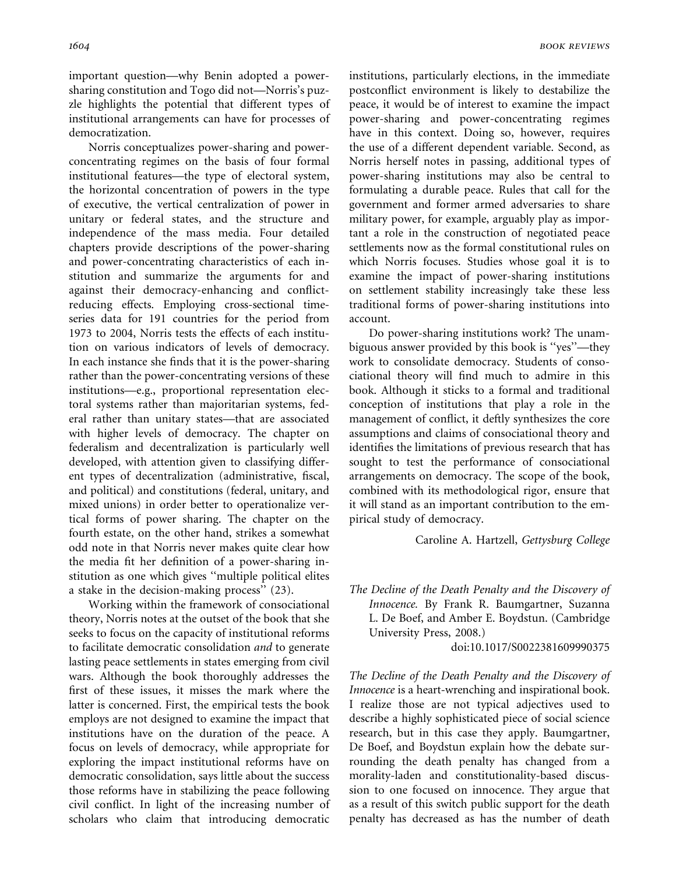important question—why Benin adopted a powersharing constitution and Togo did not—Norris's puzzle highlights the potential that different types of institutional arrangements can have for processes of democratization.

Norris conceptualizes power-sharing and powerconcentrating regimes on the basis of four formal institutional features—the type of electoral system, the horizontal concentration of powers in the type of executive, the vertical centralization of power in unitary or federal states, and the structure and independence of the mass media. Four detailed chapters provide descriptions of the power-sharing and power-concentrating characteristics of each institution and summarize the arguments for and against their democracy-enhancing and conflictreducing effects. Employing cross-sectional timeseries data for 191 countries for the period from 1973 to 2004, Norris tests the effects of each institution on various indicators of levels of democracy. In each instance she finds that it is the power-sharing rather than the power-concentrating versions of these institutions—e.g., proportional representation electoral systems rather than majoritarian systems, federal rather than unitary states—that are associated with higher levels of democracy. The chapter on federalism and decentralization is particularly well developed, with attention given to classifying different types of decentralization (administrative, fiscal, and political) and constitutions (federal, unitary, and mixed unions) in order better to operationalize vertical forms of power sharing. The chapter on the fourth estate, on the other hand, strikes a somewhat odd note in that Norris never makes quite clear how the media fit her definition of a power-sharing institution as one which gives ''multiple political elites a stake in the decision-making process'' (23).

Working within the framework of consociational theory, Norris notes at the outset of the book that she seeks to focus on the capacity of institutional reforms to facilitate democratic consolidation and to generate lasting peace settlements in states emerging from civil wars. Although the book thoroughly addresses the first of these issues, it misses the mark where the latter is concerned. First, the empirical tests the book employs are not designed to examine the impact that institutions have on the duration of the peace. A focus on levels of democracy, while appropriate for exploring the impact institutional reforms have on democratic consolidation, says little about the success those reforms have in stabilizing the peace following civil conflict. In light of the increasing number of scholars who claim that introducing democratic institutions, particularly elections, in the immediate postconflict environment is likely to destabilize the peace, it would be of interest to examine the impact power-sharing and power-concentrating regimes have in this context. Doing so, however, requires the use of a different dependent variable. Second, as Norris herself notes in passing, additional types of power-sharing institutions may also be central to formulating a durable peace. Rules that call for the government and former armed adversaries to share military power, for example, arguably play as important a role in the construction of negotiated peace settlements now as the formal constitutional rules on which Norris focuses. Studies whose goal it is to examine the impact of power-sharing institutions on settlement stability increasingly take these less traditional forms of power-sharing institutions into account.

Do power-sharing institutions work? The unambiguous answer provided by this book is ''yes''—they work to consolidate democracy. Students of consociational theory will find much to admire in this book. Although it sticks to a formal and traditional conception of institutions that play a role in the management of conflict, it deftly synthesizes the core assumptions and claims of consociational theory and identifies the limitations of previous research that has sought to test the performance of consociational arrangements on democracy. The scope of the book, combined with its methodological rigor, ensure that it will stand as an important contribution to the empirical study of democracy.

Caroline A. Hartzell, Gettysburg College

The Decline of the Death Penalty and the Discovery of Innocence. By Frank R. Baumgartner, Suzanna L. De Boef, and Amber E. Boydstun. (Cambridge University Press, 2008.)

doi:10.1017/S0022381609990375

The Decline of the Death Penalty and the Discovery of Innocence is a heart-wrenching and inspirational book. I realize those are not typical adjectives used to describe a highly sophisticated piece of social science research, but in this case they apply. Baumgartner, De Boef, and Boydstun explain how the debate surrounding the death penalty has changed from a morality-laden and constitutionality-based discussion to one focused on innocence. They argue that as a result of this switch public support for the death penalty has decreased as has the number of death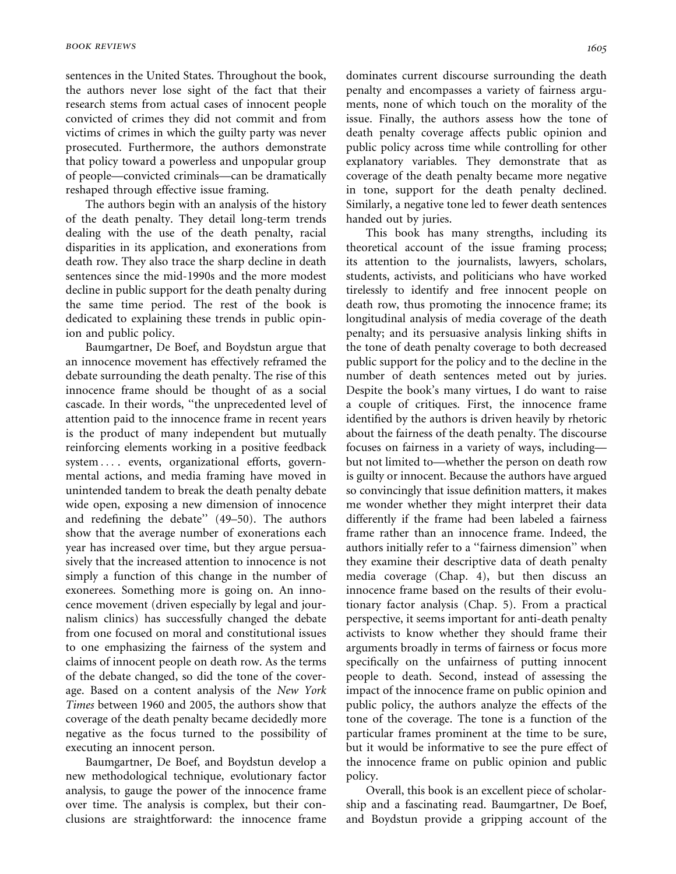sentences in the United States. Throughout the book, the authors never lose sight of the fact that their research stems from actual cases of innocent people convicted of crimes they did not commit and from victims of crimes in which the guilty party was never prosecuted. Furthermore, the authors demonstrate that policy toward a powerless and unpopular group of people—convicted criminals—can be dramatically reshaped through effective issue framing.

The authors begin with an analysis of the history of the death penalty. They detail long-term trends dealing with the use of the death penalty, racial disparities in its application, and exonerations from death row. They also trace the sharp decline in death sentences since the mid-1990s and the more modest decline in public support for the death penalty during the same time period. The rest of the book is dedicated to explaining these trends in public opinion and public policy.

Baumgartner, De Boef, and Boydstun argue that an innocence movement has effectively reframed the debate surrounding the death penalty. The rise of this innocence frame should be thought of as a social cascade. In their words, ''the unprecedented level of attention paid to the innocence frame in recent years is the product of many independent but mutually reinforcing elements working in a positive feedback system ... . events, organizational efforts, governmental actions, and media framing have moved in unintended tandem to break the death penalty debate wide open, exposing a new dimension of innocence and redefining the debate'' (49–50). The authors show that the average number of exonerations each year has increased over time, but they argue persuasively that the increased attention to innocence is not simply a function of this change in the number of exonerees. Something more is going on. An innocence movement (driven especially by legal and journalism clinics) has successfully changed the debate from one focused on moral and constitutional issues to one emphasizing the fairness of the system and claims of innocent people on death row. As the terms of the debate changed, so did the tone of the coverage. Based on a content analysis of the New York Times between 1960 and 2005, the authors show that coverage of the death penalty became decidedly more negative as the focus turned to the possibility of executing an innocent person.

Baumgartner, De Boef, and Boydstun develop a new methodological technique, evolutionary factor analysis, to gauge the power of the innocence frame over time. The analysis is complex, but their conclusions are straightforward: the innocence frame dominates current discourse surrounding the death penalty and encompasses a variety of fairness arguments, none of which touch on the morality of the issue. Finally, the authors assess how the tone of death penalty coverage affects public opinion and public policy across time while controlling for other explanatory variables. They demonstrate that as coverage of the death penalty became more negative in tone, support for the death penalty declined. Similarly, a negative tone led to fewer death sentences handed out by juries.

This book has many strengths, including its theoretical account of the issue framing process; its attention to the journalists, lawyers, scholars, students, activists, and politicians who have worked tirelessly to identify and free innocent people on death row, thus promoting the innocence frame; its longitudinal analysis of media coverage of the death penalty; and its persuasive analysis linking shifts in the tone of death penalty coverage to both decreased public support for the policy and to the decline in the number of death sentences meted out by juries. Despite the book's many virtues, I do want to raise a couple of critiques. First, the innocence frame identified by the authors is driven heavily by rhetoric about the fairness of the death penalty. The discourse focuses on fairness in a variety of ways, including but not limited to—whether the person on death row is guilty or innocent. Because the authors have argued so convincingly that issue definition matters, it makes me wonder whether they might interpret their data differently if the frame had been labeled a fairness frame rather than an innocence frame. Indeed, the authors initially refer to a ''fairness dimension'' when they examine their descriptive data of death penalty media coverage (Chap. 4), but then discuss an innocence frame based on the results of their evolutionary factor analysis (Chap. 5). From a practical perspective, it seems important for anti-death penalty activists to know whether they should frame their arguments broadly in terms of fairness or focus more specifically on the unfairness of putting innocent people to death. Second, instead of assessing the impact of the innocence frame on public opinion and public policy, the authors analyze the effects of the tone of the coverage. The tone is a function of the particular frames prominent at the time to be sure, but it would be informative to see the pure effect of the innocence frame on public opinion and public policy.

Overall, this book is an excellent piece of scholarship and a fascinating read. Baumgartner, De Boef, and Boydstun provide a gripping account of the